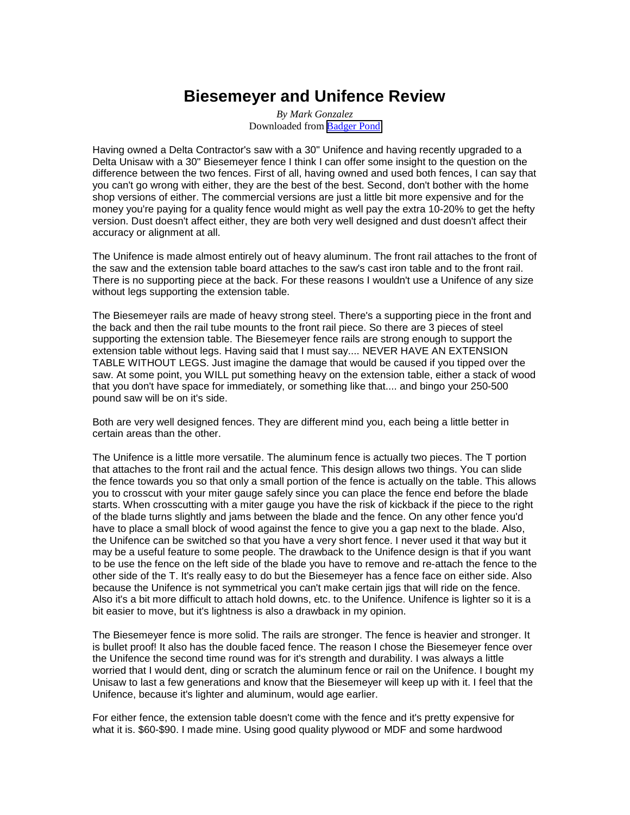## **Biesemeyer and Unifence Review**

*By Mark Gonzalez* Downloaded from [Badger Pond](http://www.wwforum.com/)

Having owned a Delta Contractor's saw with a 30" Unifence and having recently upgraded to a Delta Unisaw with a 30" Biesemeyer fence I think I can offer some insight to the question on the difference between the two fences. First of all, having owned and used both fences, I can say that you can't go wrong with either, they are the best of the best. Second, don't bother with the home shop versions of either. The commercial versions are just a little bit more expensive and for the money you're paying for a quality fence would might as well pay the extra 10-20% to get the hefty version. Dust doesn't affect either, they are both very well designed and dust doesn't affect their accuracy or alignment at all.

The Unifence is made almost entirely out of heavy aluminum. The front rail attaches to the front of the saw and the extension table board attaches to the saw's cast iron table and to the front rail. There is no supporting piece at the back. For these reasons I wouldn't use a Unifence of any size without legs supporting the extension table.

The Biesemeyer rails are made of heavy strong steel. There's a supporting piece in the front and the back and then the rail tube mounts to the front rail piece. So there are 3 pieces of steel supporting the extension table. The Biesemeyer fence rails are strong enough to support the extension table without legs. Having said that I must say.... NEVER HAVE AN EXTENSION TABLE WITHOUT LEGS. Just imagine the damage that would be caused if you tipped over the saw. At some point, you WILL put something heavy on the extension table, either a stack of wood that you don't have space for immediately, or something like that.... and bingo your 250-500 pound saw will be on it's side.

Both are very well designed fences. They are different mind you, each being a little better in certain areas than the other.

The Unifence is a little more versatile. The aluminum fence is actually two pieces. The T portion that attaches to the front rail and the actual fence. This design allows two things. You can slide the fence towards you so that only a small portion of the fence is actually on the table. This allows you to crosscut with your miter gauge safely since you can place the fence end before the blade starts. When crosscutting with a miter gauge you have the risk of kickback if the piece to the right of the blade turns slightly and jams between the blade and the fence. On any other fence you'd have to place a small block of wood against the fence to give you a gap next to the blade. Also, the Unifence can be switched so that you have a very short fence. I never used it that way but it may be a useful feature to some people. The drawback to the Unifence design is that if you want to be use the fence on the left side of the blade you have to remove and re-attach the fence to the other side of the T. It's really easy to do but the Biesemeyer has a fence face on either side. Also because the Unifence is not symmetrical you can't make certain jigs that will ride on the fence. Also it's a bit more difficult to attach hold downs, etc. to the Unifence. Unifence is lighter so it is a bit easier to move, but it's lightness is also a drawback in my opinion.

The Biesemeyer fence is more solid. The rails are stronger. The fence is heavier and stronger. It is bullet proof! It also has the double faced fence. The reason I chose the Biesemeyer fence over the Unifence the second time round was for it's strength and durability. I was always a little worried that I would dent, ding or scratch the aluminum fence or rail on the Unifence. I bought my Unisaw to last a few generations and know that the Biesemeyer will keep up with it. I feel that the Unifence, because it's lighter and aluminum, would age earlier.

For either fence, the extension table doesn't come with the fence and it's pretty expensive for what it is. \$60-\$90. I made mine. Using good quality plywood or MDF and some hardwood